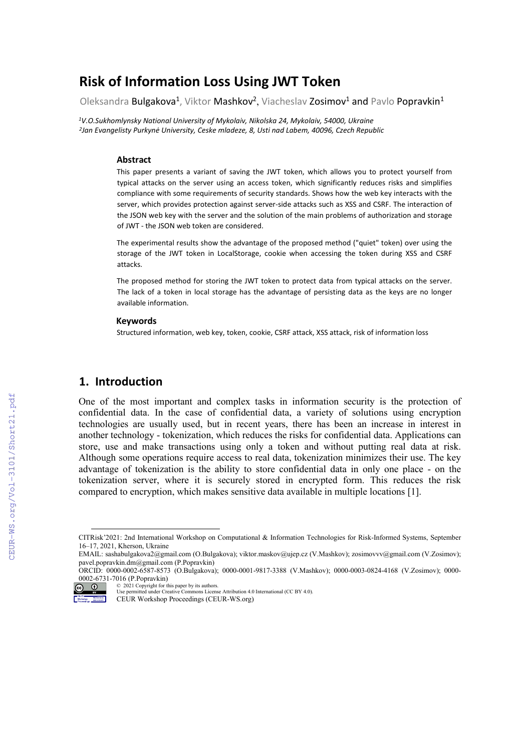# **Risk of Information Loss Using JWT Token**

Oleksandra Bulgakova<sup>1</sup>, Viktor Mashkov<sup>2</sup>, Viacheslav Zosimov<sup>1</sup> and Pavlo Popravkin<sup>1</sup>

*1V.O.Sukhomlynsky National University of Mykolaiv, Nikolska 24, Mykolaiv, 54000, Ukraine 2Jan Evangelisty Purkynė University, Ceske mladeze, 8, Usti nad Labem, 40096, Czech Republic*

#### **Abstract**

This paper presents a variant of saving the JWT token, which allows you to protect yourself from typical attacks on the server using an access token, which significantly reduces risks and simplifies compliance with some requirements of security standards. Shows how the web key interacts with the server, which provides protection against server-side attacks such as XSS and CSRF. The interaction of the JSON web key with the server and the solution of the main problems of authorization and storage of JWT - the JSON web token are considered.

The experimental results show the advantage of the proposed method ("quiet" token) over using the storage of the JWT token in LocalStorage, cookie when accessing the token during XSS and CSRF attacks.

The proposed method for storing the JWT token to protect data from typical attacks on the server. The lack of a token in local storage has the advantage of persisting data as the keys are no longer available information.

#### **Keywords**

Structured information, web key, token, cookie, CSRF attack, XSS attack, risk of information loss

## **1. Introduction**

One of the most important and complex tasks in information security is the protection of confidential data. In the case of confidential data, a variety of solutions using encryption technologies are usually used, but in recent years, there has been an increase in interest in another technology - tokenization, which reduces the risks for confidential data. Applications can store, use and make transactions using only a token and without putting real data at risk. Although some operations require access to real data, tokenization minimizes their use. The key advantage of tokenization is the ability to store confidential data in only one place - on the tokenization server, where it is securely stored in encrypted form. This reduces the risk compared to encryption, which makes sensitive data available in multiple locations [1].

ORCID: 0000-0002-6587-8573 (O.Bulgakova); 0000-0001-9817-3388 (V.Mashkov); 0000-0003-0824-4168 (V.Zosimov); 0000- 0002-6731-7016 (P.Popravkin)



© 2021 Copyright for this paper by its authors. Use permitted under Creative Commons License Attribution 4.0 International (CC BY 4.0).

CEUR Workshop Proceedings (CEUR-WS.org)

CITRisk'2021: 2nd International Workshop on Computational & Information Technologies for Risk-Informed Systems, September 16–17, 2021, Kherson, Ukraine

<span id="page-0-0"></span>EMAIL: sashabulgakova2@gmail.com (O.Bulgakova)[; viktor.maskov@ujep.cz](mailto:viktor.maskov@ujep.cz) (V.Mashkov); zosimovvv@gmail.com (V.Zosimov); pavel.popravkin.dm@gmail.com (P.Popravkin)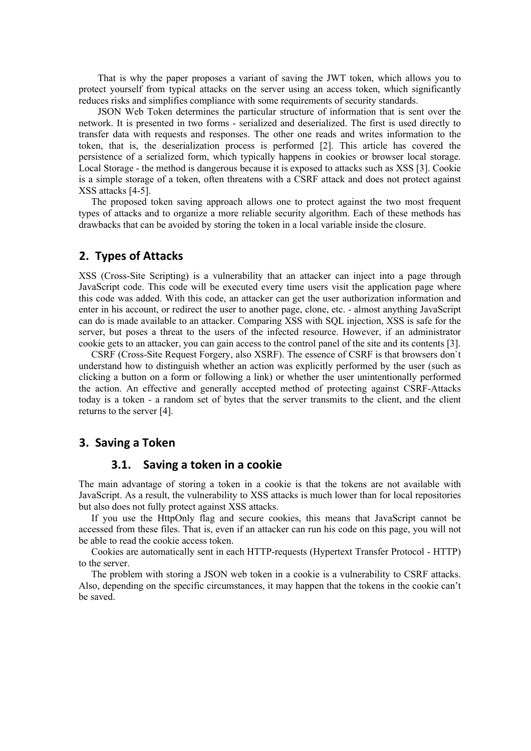That is why the paper proposes a variant of saving the JWT token, which allows you to protect yourself from typical attacks on the server using an access token, which significantly reduces risks and simplifies compliance with some requirements of security standards.

JSON Web Token determines the particular structure of information that is sent over the network. It is presented in two forms - serialized and deserialized. The first is used directly to transfer data with requests and responses. The other one reads and writes information to the token, that is, the deserialization process is performed [2]. This article has covered the persistence of a serialized form, which typically happens in cookies or browser local storage. Local Storage - the method is dangerous because it is exposed to attacks such as XSS [3]. Cookie is a simple storage of a token, often threatens with a CSRF attack and does not protect against XSS attacks [4-5].

The proposed token saving approach allows one to protect against the two most frequent types of attacks and to organize a more reliable security algorithm. Each of these methods has drawbacks that can be avoided by storing the token in a local variable inside the closure.

## **2. Types of Attacks**

XSS (Cross-Site Scripting) is a vulnerability that an attacker can inject into a page through JavaScript code. This code will be executed every time users visit the application page where this code was added. With this code, an attacker can get the user authorization information and enter in his account, or redirect the user to another page, clone, etc. - almost anything JavaScript can do is made available to an attacker. Comparing XSS with SQL injection, XSS is safe for the server, but poses a threat to the users of the infected resource. However, if an administrator cookie gets to an attacker, you can gain access to the control panel of the site and its contents [3].

CSRF (Cross-Site Request Forgery, also XSRF). The essence of CSRF is that browsers don`t understand how to distinguish whether an action was explicitly performed by the user (such as clicking a button on a form or following a link) or whether the user unintentionally performed the action. An effective and generally accepted method of protecting against CSRF-Attacks today is a token - a random set of bytes that the server transmits to the client, and the client returns to the server [4].

## **3. Saving a Token**

## **3.1. Saving a token in a cookie**

The main advantage of storing a token in a cookie is that the tokens are not available with JavaScript. As a result, the vulnerability to XSS attacks is much lower than for local repositories but also does not fully protect against XSS attacks.

If you use the HttpOnly flag and secure cookies, this means that JavaScript cannot be accessed from these files. That is, even if an attacker can run his code on this page, you will not be able to read the cookie access token.

Cookies are automatically sent in each HTTP-requests (Hypertext Transfer Protocol - HTTP) to the server.

The problem with storing a JSON web token in a cookie is a vulnerability to CSRF attacks. Also, depending on the specific circumstances, it may happen that the tokens in the cookie can't be saved.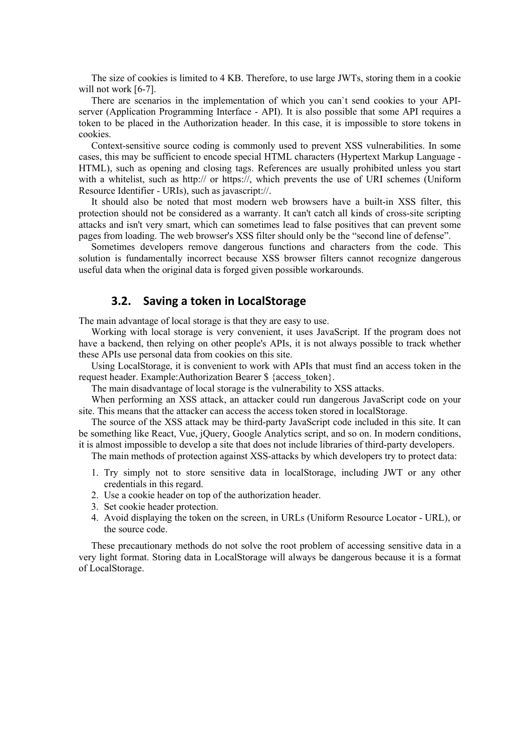The size of cookies is limited to 4 KB. Therefore, to use large JWTs, storing them in a cookie will not work [6-7].

There are scenarios in the implementation of which you can`t send cookies to your APIserver (Application Programming Interface - API). It is also possible that some API requires a token to be placed in the Authorization header. In this case, it is impossible to store tokens in cookies.

Context-sensitive source coding is commonly used to prevent XSS vulnerabilities. In some cases, this may be sufficient to encode special HTML characters (Hypertext Markup Language - HTML), such as opening and closing tags. References are usually prohibited unless you start with a whitelist, such as http:// or https://, which prevents the use of URI schemes (Uniform Resource Identifier - URIs), such as javascript://.

It should also be noted that most modern web browsers have a built-in XSS filter, this protection should not be considered as a warranty. It can't catch all kinds of cross-site scripting attacks and isn't very smart, which can sometimes lead to false positives that can prevent some pages from loading. The web browser's XSS filter should only be the "second line of defense".

Sometimes developers remove dangerous functions and characters from the code. This solution is fundamentally incorrect because XSS browser filters cannot recognize dangerous useful data when the original data is forged given possible workarounds.

## **3.2. Saving a token in LocalStorage**

The main advantage of local storage is that they are easy to use.

Working with local storage is very convenient, it uses JavaScript. If the program does not have a backend, then relying on other people's APIs, it is not always possible to track whether these APIs use personal data from cookies on this site.

Using LocalStorage, it is convenient to work with APIs that must find an access token in the request header. Example:Authorization Bearer \$ {access\_token}.

The main disadvantage of local storage is the vulnerability to XSS attacks.

When performing an XSS attack, an attacker could run dangerous JavaScript code on your site. This means that the attacker can access the access token stored in localStorage.

The source of the XSS attack may be third-party JavaScript code included in this site. It can be something like React, Vue, jQuery, Google Analytics script, and so on. In modern conditions, it is almost impossible to develop a site that does not include libraries of third-party developers.

The main methods of protection against XSS-attacks by which developers try to protect data:

- 1. Try simply not to store sensitive data in localStorage, including JWT or any other credentials in this regard.
- 2. Use a cookie header on top of the authorization header.
- 3. Set cookie header protection.
- 4. Avoid displaying the token on the screen, in URLs (Uniform Resource Locator URL), or the source code.

These precautionary methods do not solve the root problem of accessing sensitive data in a very light format. Storing data in LocalStorage will always be dangerous because it is a format of LocalStorage.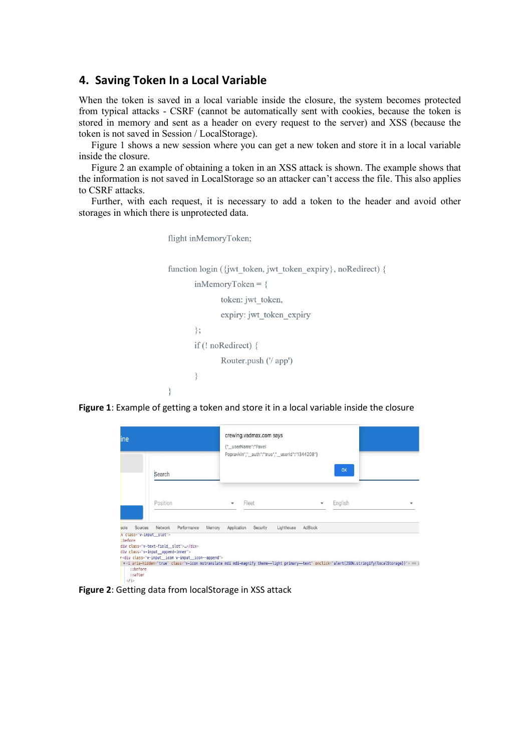#### **4. Saving Token In a Local Variable**

When the token is saved in a local variable inside the closure, the system becomes protected from typical attacks - CSRF (cannot be automatically sent with cookies, because the token is stored in memory and sent as a header on every request to the server) and XSS (because the token is not saved in Session / LocalStorage).

Figure 1 shows a new session where you can get a new token and store it in a local variable inside the closure.

Figure 2 an example of obtaining a token in an XSS attack is shown. The example shows that the information is not saved in LocalStorage so an attacker can't access the file. This also applies to CSRF attacks.

Further, with each request, it is necessary to add a token to the header and avoid other storages in which there is unprotected data.

```
flight inMemoryToken;
function login ({jwt token, jwt token expiry}, noRedirect) {
       inMemoryToken = \{token: jwt token,
               expiry: jwt_token_expiry
       \mathcal{E}if (! noRedirect) {
               Router.push ('/ app')
       \}₹
```
**Figure 1**: Example of getting a token and store it in a local variable inside the closure

| ine                                                                           |                                                                                                                                                          | crewing.vadmax.com says<br>{"_userName":"Pavel                                                                                                                                                           |         |         |  |
|-------------------------------------------------------------------------------|----------------------------------------------------------------------------------------------------------------------------------------------------------|----------------------------------------------------------------------------------------------------------------------------------------------------------------------------------------------------------|---------|---------|--|
|                                                                               | Search                                                                                                                                                   | Popravkin","_auth":"true","_userId":"1344208"}                                                                                                                                                           |         | OK      |  |
|                                                                               | Position                                                                                                                                                 | Fleet                                                                                                                                                                                                    | v       | English |  |
| Sources<br>sole<br>.v class="v-input_slot"><br>:before<br>::before<br>::after | Network<br>Performance<br>div class="v-text-field slot"><br>div class="v-input_append-inner"><br>r <div class="v-input_icon v-input_icon--append"></div> | Memory<br>Application<br>Security<br>Lighthouse<br>v <i aria-hidden="true" class="v-icon notranslate mdi mdi-magnify theme--light primary--text" onclick="alert(JSON.stringify(localStorage))"> == 3</i> | AdBlock |         |  |

**Figure 2**: Getting data from localStorage in XSS attack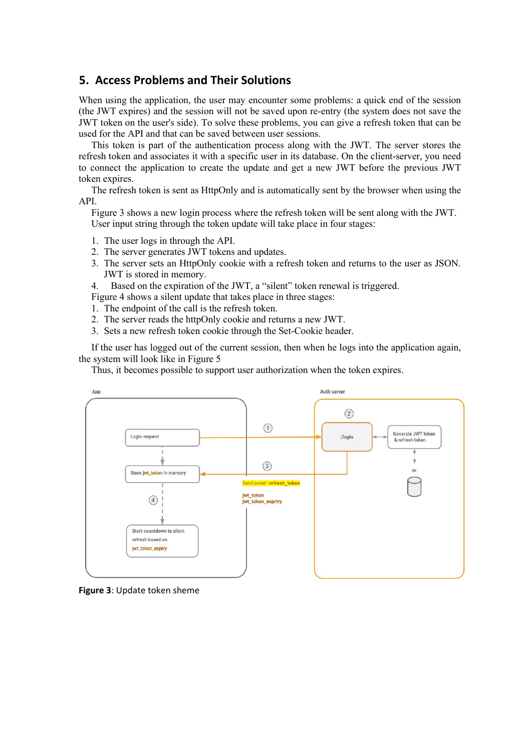# **5. Access Problems and Their Solutions**

When using the application, the user may encounter some problems: a quick end of the session (the JWT expires) and the session will not be saved upon re-entry (the system does not save the JWT token on the user's side). To solve these problems, you can give a refresh token that can be used for the API and that can be saved between user sessions.

This token is part of the authentication process along with the JWT. The server stores the refresh token and associates it with a specific user in its database. On the client-server, you need to connect the application to create the update and get a new JWT before the previous JWT token expires.

The refresh token is sent as HttpOnly and is automatically sent by the browser when using the API.

Figure 3 shows a new login process where the refresh token will be sent along with the JWT. User input string through the token update will take place in four stages:

- 1. The user logs in through the API.
- 2. The server generates JWT tokens and updates.
- 3. The server sets an HttpOnly cookie with a refresh token and returns to the user as JSON. JWT is stored in memory.
- 4. Based on the expiration of the JWT, a "silent" token renewal is triggered.

Figure 4 shows a silent update that takes place in three stages:

- 1. The endpoint of the call is the refresh token.
- 2. The server reads the httpOnly cookie and returns a new JWT.
- 3. Sets a new refresh token cookie through the Set-Cookie header.

If the user has logged out of the current session, then when he logs into the application again, the system will look like in Figure 5

Thus, it becomes possible to support user authorization when the token expires.



**Figure 3**: Update token sheme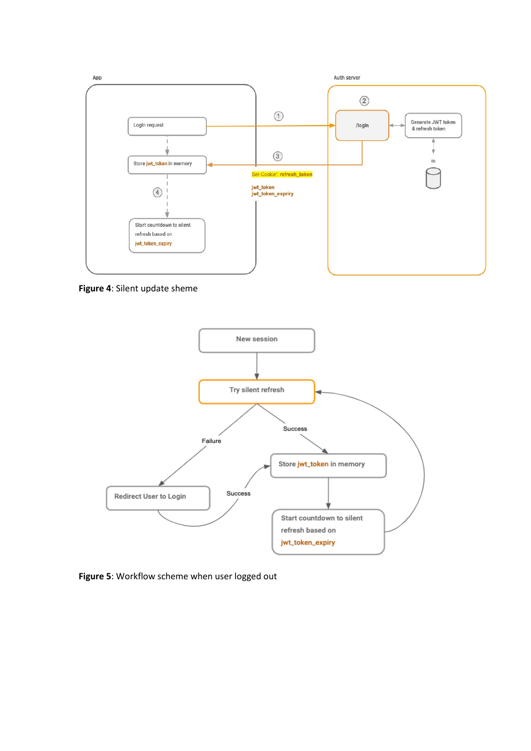

**Figure 4**: Silent update sheme



**Figure 5**: Workflow scheme when user logged out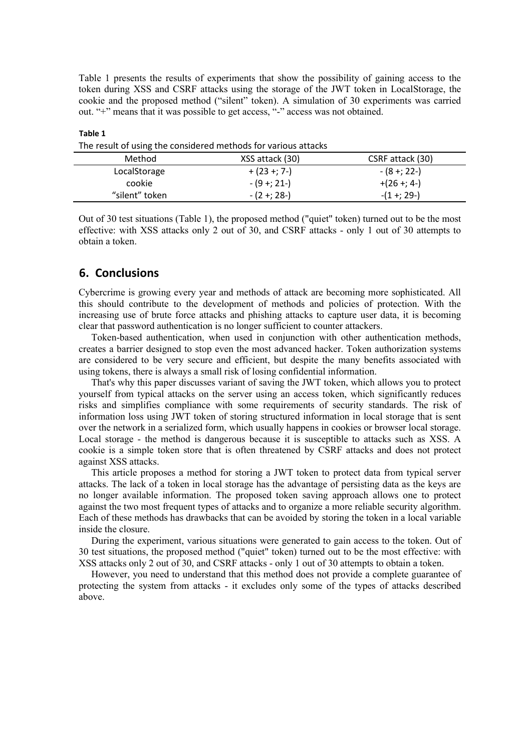Table 1 presents the results of experiments that show the possibility of gaining access to the token during XSS and CSRF attacks using the storage of the JWT token in LocalStorage, the cookie and the proposed method ("silent" token). A simulation of 30 experiments was carried out. "+" means that it was possible to get access, "-" access was not obtained.

| The result of using the considered methods for various attacks |                 |                  |
|----------------------------------------------------------------|-----------------|------------------|
| Method                                                         | XSS attack (30) | CSRF attack (30) |
| LocalStorage                                                   | $+ (23 + 7 -)$  | - (8 +; 22-)     |
| cookie                                                         | $-(9 + 21)$     | $+(26 + 4)$      |
| "silent" token                                                 | $-(2 + 28 -)$   | $-(1 + 29 -)$    |

**Table 1**

The result of using the considered methods for various attacks

Out of 30 test situations (Table 1), the proposed method ("quiet" token) turned out to be the most effective: with XSS attacks only 2 out of 30, and CSRF attacks - only 1 out of 30 attempts to obtain a token.

## **6. Conclusions**

Cybercrime is growing every year and methods of attack are becoming more sophisticated. All this should contribute to the development of methods and policies of protection. With the increasing use of brute force attacks and phishing attacks to capture user data, it is becoming clear that password authentication is no longer sufficient to counter attackers.

Token-based authentication, when used in conjunction with other authentication methods, creates a barrier designed to stop even the most advanced hacker. Token authorization systems are considered to be very secure and efficient, but despite the many benefits associated with using tokens, there is always a small risk of losing confidential information.

That's why this paper discusses variant of saving the JWT token, which allows you to protect yourself from typical attacks on the server using an access token, which significantly reduces risks and simplifies compliance with some requirements of security standards. The risk of information loss using JWT token of storing structured information in local storage that is sent over the network in a serialized form, which usually happens in cookies or browser local storage. Local storage - the method is dangerous because it is susceptible to attacks such as XSS. A cookie is a simple token store that is often threatened by CSRF attacks and does not protect against XSS attacks.

This article proposes a method for storing a JWT token to protect data from typical server attacks. The lack of a token in local storage has the advantage of persisting data as the keys are no longer available information. The proposed token saving approach allows one to protect against the two most frequent types of attacks and to organize a more reliable security algorithm. Each of these methods has drawbacks that can be avoided by storing the token in a local variable inside the closure.

During the experiment, various situations were generated to gain access to the token. Out of 30 test situations, the proposed method ("quiet" token) turned out to be the most effective: with XSS attacks only 2 out of 30, and CSRF attacks - only 1 out of 30 attempts to obtain a token.

However, you need to understand that this method does not provide a complete guarantee of protecting the system from attacks - it excludes only some of the types of attacks described above.